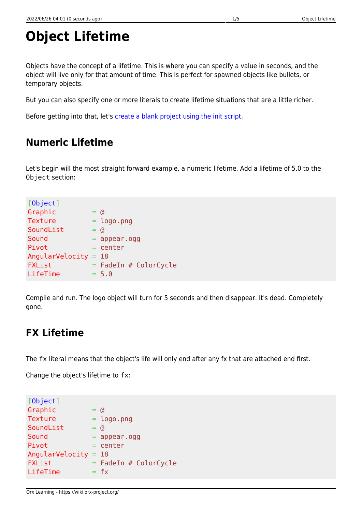# **Object Lifetime**

Objects have the concept of a lifetime. This is where you can specify a value in seconds, and the object will live only for that amount of time. This is perfect for spawned objects like bullets, or temporary objects.

But you can also specify one or more literals to create lifetime situations that are a little richer.

Before getting into that, let's [create a blank project using the init script.](https://wiki.orx-project.org/en/tutorials/projects/creating_your_own_project)

#### **Numeric Lifetime**

Let's begin will the most straight forward example, a numeric lifetime. Add a lifetime of 5.0 to the Object section:

| [Object]               |              |                         |
|------------------------|--------------|-------------------------|
| Graphic                | $=$ (d       |                         |
| <b>Texture</b>         |              | $= \text{logo.png}$     |
| SoundList              | $=$ $\alpha$ |                         |
| Sound                  |              | $=$ appear.ogg          |
| Pivot                  |              | $=$ center              |
| AngularVelocity = $18$ |              |                         |
| <b>FXList</b>          |              | $=$ FadeIn # ColorCycle |
| LifeTime               |              | $= 5.0$                 |
|                        |              |                         |

Compile and run. The logo object will turn for 5 seconds and then disappear. It's dead. Completely gone.

# **FX Lifetime**

The fx literal means that the object's life will only end after any fx that are attached end first.

Change the object's lifetime to fx:

```
[Object]

Texture = logo.pngSoundList = @
Sound = appear.ogg
Pivot = centerAngularVelocity = 18
\mathsf{FXList} = FadeIn # ColorCycle
LifeTime = fx
```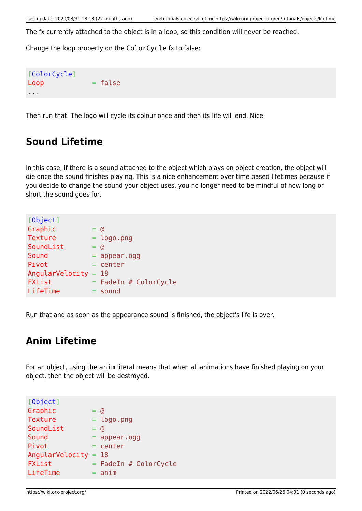The fx currently attached to the object is in a loop, so this condition will never be reached.

Change the loop property on the ColorCycle fx to false:

[ColorCycle]  $Loop$   $= false$ ...

Then run that. The logo will cycle its colour once and then its life will end. Nice.

#### **Sound Lifetime**

In this case, if there is a sound attached to the object which plays on object creation, the object will die once the sound finishes playing. This is a nice enhancement over time based lifetimes because if you decide to change the sound your object uses, you no longer need to be mindful of how long or short the sound goes for.

| [0bject]        |         |                         |
|-----------------|---------|-------------------------|
| Graphic         | $=$ (d  |                         |
| <b>Texture</b>  |         | $=$ logo.png            |
| SoundList       | $=$ (d) |                         |
| Sound           |         | $=$ appear.ogg          |
| Pivot           |         | $=$ center              |
| AngularVelocity |         | $= 18$                  |
| FXList          |         | $=$ FadeIn # ColorCycle |
| LifeTime        |         | $=$ sound               |
|                 |         |                         |

Run that and as soon as the appearance sound is finished, the object's life is over.

#### **Anim Lifetime**

For an object, using the anim literal means that when all animations have finished playing on your object, then the object will be destroyed.

| [Object]        |         |                         |
|-----------------|---------|-------------------------|
| Graphic         | $=$ (d) |                         |
| <b>Texture</b>  |         | $=$ logo.png            |
| SoundList       | Ξ.      | G)                      |
| Sound           |         | $=$ appear.ogg          |
| Pivot           |         | $=$ center              |
| AngularVelocity |         | $= 18$                  |
| <b>FXList</b>   |         | $=$ FadeIn # ColorCycle |
| LifeTime        |         | $=$ $\text{anim}$       |
|                 |         |                         |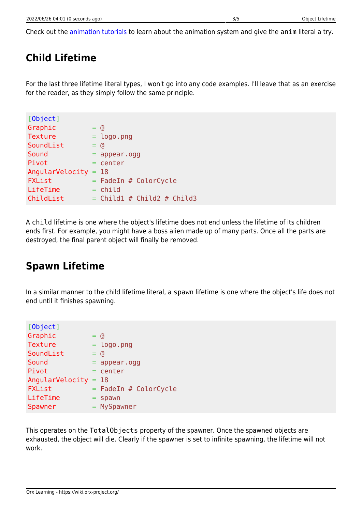Check out the [animation tutorials](https://wiki.orx-project.org/en/tutorials/main#animation) to learn about the animation system and give the anim literal a try.

# **Child Lifetime**

For the last three lifetime literal types, I won't go into any code examples. I'll leave that as an exercise for the reader, as they simply follow the same principle.

| [Object]               |        |                              |
|------------------------|--------|------------------------------|
| Graphic                | $=$ (d |                              |
| <b>Texture</b>         |        | $=$ logo.png                 |
| SoundList              | $=$ @  |                              |
| Sound                  |        | $=$ appear.ogg               |
| Pivot                  |        | = center                     |
| AngularVelocity = $18$ |        |                              |
| <b>FXList</b>          |        | $=$ FadeIn # ColorCycle      |
| LifeTime               |        | $=$ child                    |
| ChildList              |        | $=$ Childl # Child2 # Child3 |

A child lifetime is one where the object's lifetime does not end unless the lifetime of its children ends first. For example, you might have a boss alien made up of many parts. Once all the parts are destroyed, the final parent object will finally be removed.

#### **Spawn Lifetime**

In a similar manner to the child lifetime literal, a spawn lifetime is one where the object's life does not end until it finishes spawning.

| G)                       |
|--------------------------|
| $=$ logo.png             |
| G)                       |
| $=$ appear.ogg           |
| $=$ center               |
| $= 18$                   |
| $=$ FadeIn # ColorCycle  |
| spawn                    |
| $=$ MySpawner            |
| $=$ $-$<br>$=$ $-$<br>≕. |

This operates on the TotalObjects property of the spawner. Once the spawned objects are exhausted, the object will die. Clearly if the spawner is set to infinite spawning, the lifetime will not work.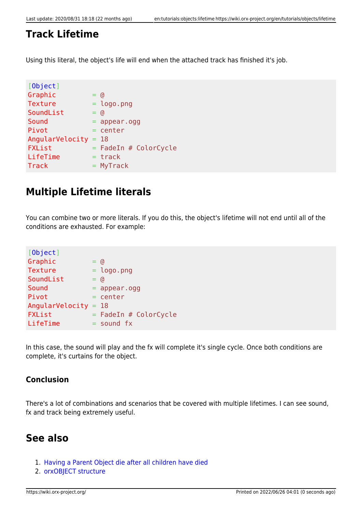#### **Track Lifetime**

Using this literal, the object's life will end when the attached track has finished it's job.

| [0bject]               |              |                         |
|------------------------|--------------|-------------------------|
| Graphic                | $=$ (d)      |                         |
| <b>Texture</b>         |              | $= \text{logo.png}$     |
| SoundList              | $=$ $\alpha$ |                         |
| Sound                  |              | $=$ appear.ogg          |
| Pivot                  |              | $=$ center              |
| AngularVelocity = $18$ |              |                         |
| <b>FXList</b>          |              | $=$ FadeIn # ColorCycle |
| LifeTime               |              | $=$ track               |
| <b>Track</b>           |              | $= MyTrack$             |

### **Multiple Lifetime literals**

You can combine two or more literals. If you do this, the object's lifetime will not end until all of the conditions are exhausted. For example:

| [Object]               |              |                         |
|------------------------|--------------|-------------------------|
| Graphic                | $=$ (d       |                         |
| Texture                |              | $=$ logo.png            |
| SoundList              | $=$ $\alpha$ |                         |
| Sound                  |              | $=$ appear.ogg          |
| Pivot                  |              | $=$ center              |
| AngularVelocity = $18$ |              |                         |
| <b>FXList</b>          |              | $=$ FadeIn # ColorCycle |
| LifeTime               |              | $=$ sound $fx$          |
|                        |              |                         |

In this case, the sound will play and the fx will complete it's single cycle. Once both conditions are complete, it's curtains for the object.

#### **Conclusion**

There's a lot of combinations and scenarios that be covered with multiple lifetimes. I can see sound, fx and track being extremely useful.

#### **See also**

- 1. [Having a Parent Object die after all children have died](https://wiki.orx-project.org/en/examples/objects/kill_parent_object_when_children_die)
- 2. [orxOBJECT structure](https://wiki.orx-project.org/en/orx/config/settings_structure/orxobject)